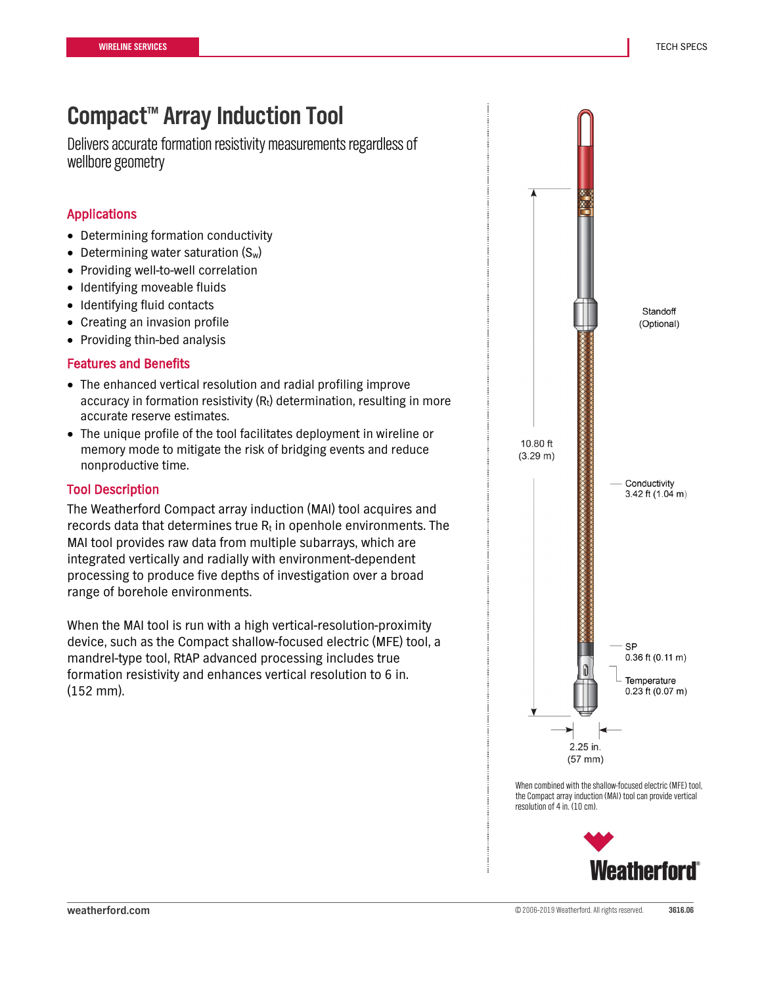## **Compact™ Array Induction Tool**

Delivers accurate formation resistivity measurements regardless of wellbore geometry

### Applications

- Determining formation conductivity
- Determining water saturation  $(S_w)$
- Providing well-to-well correlation
- Identifying moveable fluids
- Identifying fluid contacts
- Creating an invasion profile
- Providing thin-bed analysis

### Features and Benefits

- The enhanced vertical resolution and radial profiling improve accuracy in formation resistivity  $(R_t)$  determination, resulting in more accurate reserve estimates.
- The unique profile of the tool facilitates deployment in wireline or memory mode to mitigate the risk of bridging events and reduce nonproductive time.

### Tool Description

The Weatherford Compact array induction (MAI) tool acquires and records data that determines true  $R_t$  in openhole environments. The MAI tool provides raw data from multiple subarrays, which are integrated vertically and radially with environment-dependent processing to produce five depths of investigation over a broad range of borehole environments.

When the MAI tool is run with a high vertical-resolution-proximity device, such as the Compact shallow-focused electric (MFE) tool, a mandrel-type tool, RtAP advanced processing includes true formation resistivity and enhances vertical resolution to 6 in. (152 mm).



When combined with the shallow-focused electric (MFE) tool, the Compact array induction (MAI) tool can provide vertical resolution of 4 in. (10 cm).